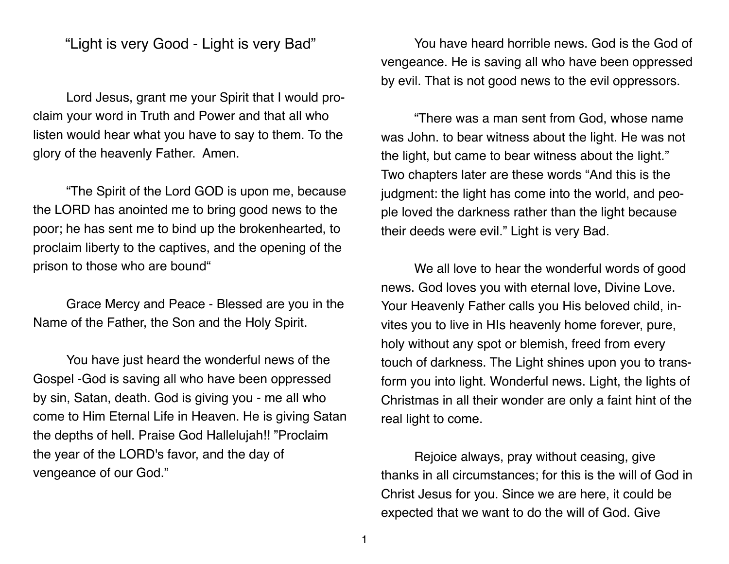"Light is very Good - Light is very Bad"

Lord Jesus, grant me your Spirit that I would proclaim your word in Truth and Power and that all who listen would hear what you have to say to them. To the glory of the heavenly Father. Amen.

"The Spirit of the Lord GOD is upon me, because the LORD has anointed me to bring good news to the poor; he has sent me to bind up the brokenhearted, to proclaim liberty to the captives, and the opening of the prison to those who are bound"

Grace Mercy and Peace - Blessed are you in the Name of the Father, the Son and the Holy Spirit.

You have just heard the wonderful news of the Gospel -God is saving all who have been oppressed by sin, Satan, death. God is giving you - me all who come to Him Eternal Life in Heaven. He is giving Satan the depths of hell. Praise God Hallelujah!! "Proclaim the year of the LORD's favor, and the day of vengeance of our God."

You have heard horrible news. God is the God of vengeance. He is saving all who have been oppressed by evil. That is not good news to the evil oppressors.

"There was a man sent from God, whose name was John. to bear witness about the light. He was not the light, but came to bear witness about the light." Two chapters later are these words "And this is the judgment: the light has come into the world, and people loved the darkness rather than the light because their deeds were evil." Light is very Bad.

We all love to hear the wonderful words of good news. God loves you with eternal love, Divine Love. Your Heavenly Father calls you His beloved child, invites you to live in HIs heavenly home forever, pure, holy without any spot or blemish, freed from every touch of darkness. The Light shines upon you to transform you into light. Wonderful news. Light, the lights of Christmas in all their wonder are only a faint hint of the real light to come.

Rejoice always, pray without ceasing, give thanks in all circumstances; for this is the will of God in Christ Jesus for you. Since we are here, it could be expected that we want to do the will of God. Give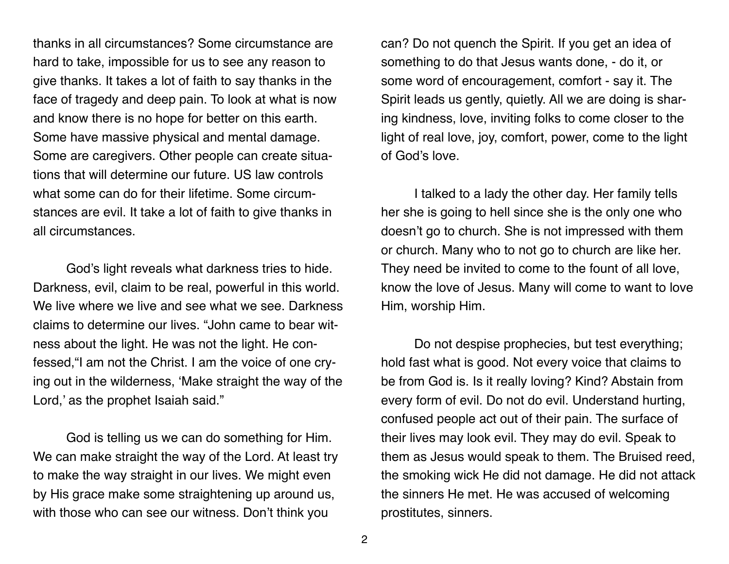thanks in all circumstances? Some circumstance are hard to take, impossible for us to see any reason to give thanks. It takes a lot of faith to say thanks in the face of tragedy and deep pain. To look at what is now and know there is no hope for better on this earth. Some have massive physical and mental damage. Some are caregivers. Other people can create situations that will determine our future. US law controls what some can do for their lifetime. Some circumstances are evil. It take a lot of faith to give thanks in all circumstances.

God's light reveals what darkness tries to hide. Darkness, evil, claim to be real, powerful in this world. We live where we live and see what we see. Darkness claims to determine our lives. "John came to bear witness about the light. He was not the light. He confessed,"I am not the Christ. I am the voice of one crying out in the wilderness, 'Make straight the way of the Lord,' as the prophet Isaiah said."

God is telling us we can do something for Him. We can make straight the way of the Lord. At least try to make the way straight in our lives. We might even by His grace make some straightening up around us, with those who can see our witness. Don't think you

can? Do not quench the Spirit. If you get an idea of something to do that Jesus wants done, - do it, or some word of encouragement, comfort - say it. The Spirit leads us gently, quietly. All we are doing is sharing kindness, love, inviting folks to come closer to the light of real love, joy, comfort, power, come to the light of God's love.

I talked to a lady the other day. Her family tells her she is going to hell since she is the only one who doesn't go to church. She is not impressed with them or church. Many who to not go to church are like her. They need be invited to come to the fount of all love, know the love of Jesus. Many will come to want to love Him, worship Him.

Do not despise prophecies, but test everything; hold fast what is good. Not every voice that claims to be from God is. Is it really loving? Kind? Abstain from every form of evil. Do not do evil. Understand hurting, confused people act out of their pain. The surface of their lives may look evil. They may do evil. Speak to them as Jesus would speak to them. The Bruised reed, the smoking wick He did not damage. He did not attack the sinners He met. He was accused of welcoming prostitutes, sinners.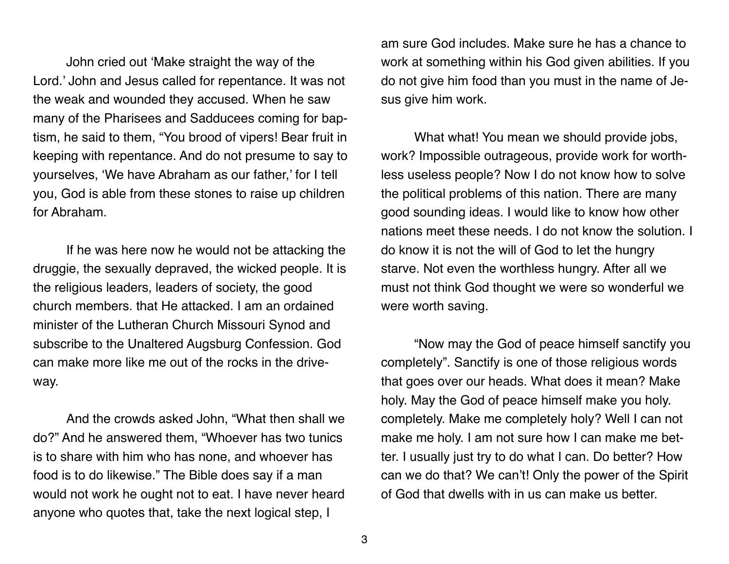John cried out 'Make straight the way of the Lord.' John and Jesus called for repentance. It was not the weak and wounded they accused. When he saw many of the Pharisees and Sadducees coming for baptism, he said to them, "You brood of vipers! Bear fruit in keeping with repentance. And do not presume to say to yourselves, 'We have Abraham as our father,' for I tell you, God is able from these stones to raise up children for Abraham.

If he was here now he would not be attacking the druggie, the sexually depraved, the wicked people. It is the religious leaders, leaders of society, the good church members. that He attacked. I am an ordained minister of the Lutheran Church Missouri Synod and subscribe to the Unaltered Augsburg Confession. God can make more like me out of the rocks in the driveway.

And the crowds asked John, "What then shall we do?" And he answered them, "Whoever has two tunics is to share with him who has none, and whoever has food is to do likewise." The Bible does say if a man would not work he ought not to eat. I have never heard anyone who quotes that, take the next logical step, I

am sure God includes. Make sure he has a chance to work at something within his God given abilities. If you do not give him food than you must in the name of Jesus give him work.

What what! You mean we should provide jobs, work? Impossible outrageous, provide work for worthless useless people? Now I do not know how to solve the political problems of this nation. There are many good sounding ideas. I would like to know how other nations meet these needs. I do not know the solution. I do know it is not the will of God to let the hungry starve. Not even the worthless hungry. After all we must not think God thought we were so wonderful we were worth saving.

"Now may the God of peace himself sanctify you completely". Sanctify is one of those religious words that goes over our heads. What does it mean? Make holy. May the God of peace himself make you holy. completely. Make me completely holy? Well I can not make me holy. I am not sure how I can make me better. I usually just try to do what I can. Do better? How can we do that? We can't! Only the power of the Spirit of God that dwells with in us can make us better.